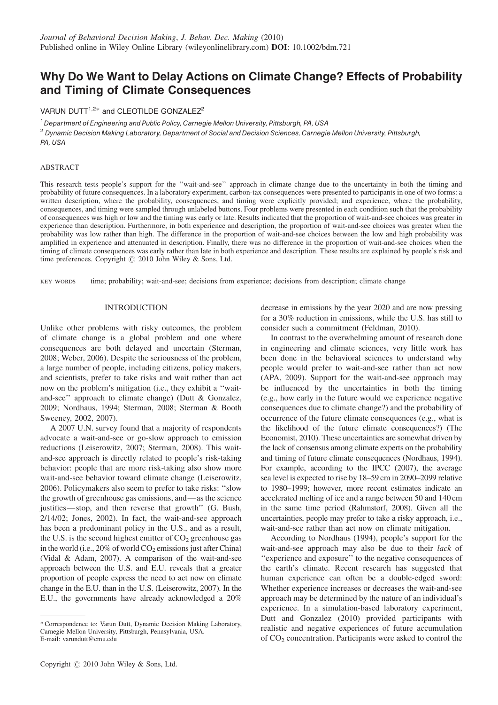# Why Do We Want to Delay Actions on Climate Change? Effects of Probability and Timing of Climate Consequences

VARUN DUTT<sup>1,2\*</sup> and CLEOTILDE GONZALEZ<sup>2</sup>

<sup>1</sup> Department of Engineering and Public Policy, Carnegie Mellon University, Pittsburgh, PA, USA <sup>2</sup> Dynamic Decision Making Laboratory, Department of Social and Decision Sciences, Carnegie Mellon University, Pittsburgh, PA, USA

#### ABSTRACT

This research tests people's support for the ''wait-and-see'' approach in climate change due to the uncertainty in both the timing and probability of future consequences. In a laboratory experiment, carbon-tax consequences were presented to participants in one of two forms: a written description, where the probability, consequences, and timing were explicitly provided; and experience, where the probability, consequences, and timing were sampled through unlabeled buttons. Four problems were presented in each condition such that the probability of consequences was high or low and the timing was early or late. Results indicated that the proportion of wait-and-see choices was greater in experience than description. Furthermore, in both experience and description, the proportion of wait-and-see choices was greater when the probability was low rather than high. The difference in the proportion of wait-and-see choices between the low and high probability was amplified in experience and attenuated in description. Finally, there was no difference in the proportion of wait-and-see choices when the timing of climate consequences was early rather than late in both experience and description. These results are explained by people's risk and time preferences. Copyright  $\odot$  2010 John Wiley & Sons, Ltd.

key words time; probability; wait-and-see; decisions from experience; decisions from description; climate change

# INTRODUCTION

Unlike other problems with risky outcomes, the problem of climate change is a global problem and one where consequences are both delayed and uncertain (Sterman, 2008; Weber, 2006). Despite the seriousness of the problem, a large number of people, including citizens, policy makers, and scientists, prefer to take risks and wait rather than act now on the problem's mitigation (i.e., they exhibit a ''waitand-see'' approach to climate change) (Dutt & Gonzalez, 2009; Nordhaus, 1994; Sterman, 2008; Sterman & Booth Sweeney, 2002, 2007).

A 2007 U.N. survey found that a majority of respondents advocate a wait-and-see or go-slow approach to emission reductions (Leiserowitz, 2007; Sterman, 2008). This waitand-see approach is directly related to people's risk-taking behavior: people that are more risk-taking also show more wait-and-see behavior toward climate change (Leiserowitz, 2006). Policymakers also seem to prefer to take risks: ''slow the growth of greenhouse gas emissions, and—as the science justifies—stop, and then reverse that growth'' (G. Bush, 2/14/02; Jones, 2002). In fact, the wait-and-see approach has been a predominant policy in the U.S., and as a result, the U.S. is the second highest emitter of  $CO<sub>2</sub>$  greenhouse gas in the world (i.e.,  $20\%$  of world  $CO<sub>2</sub>$  emissions just after China) (Vidal & Adam, 2007). A comparison of the wait-and-see approach between the U.S. and E.U. reveals that a greater proportion of people express the need to act now on climate change in the E.U. than in the U.S. (Leiserowitz, 2007). In the E.U., the governments have already acknowledged a 20%

decrease in emissions by the year 2020 and are now pressing for a 30% reduction in emissions, while the U.S. has still to consider such a commitment (Feldman, 2010).

In contrast to the overwhelming amount of research done in engineering and climate sciences, very little work has been done in the behavioral sciences to understand why people would prefer to wait-and-see rather than act now (APA, 2009). Support for the wait-and-see approach may be influenced by the uncertainties in both the timing (e.g., how early in the future would we experience negative consequences due to climate change?) and the probability of occurrence of the future climate consequences (e.g., what is the likelihood of the future climate consequences?) (The Economist, 2010). These uncertainties are somewhat driven by the lack of consensus among climate experts on the probability and timing of future climate consequences (Nordhaus, 1994). For example, according to the IPCC (2007), the average sea level is expected to rise by 18–59 cm in 2090–2099 relative to 1980–1999; however, more recent estimates indicate an accelerated melting of ice and a range between 50 and 140 cm in the same time period (Rahmstorf, 2008). Given all the uncertainties, people may prefer to take a risky approach, i.e., wait-and-see rather than act now on climate mitigation.

According to Nordhaus (1994), people's support for the wait-and-see approach may also be due to their lack of ''experience and exposure'' to the negative consequences of the earth's climate. Recent research has suggested that human experience can often be a double-edged sword: Whether experience increases or decreases the wait-and-see approach may be determined by the nature of an individual's experience. In a simulation-based laboratory experiment, Dutt and Gonzalez (2010) provided participants with realistic and negative experiences of future accumulation of  $CO<sub>2</sub>$  concentration. Participants were asked to control the

<sup>\*</sup> Correspondence to: Varun Dutt, Dynamic Decision Making Laboratory, Carnegie Mellon University, Pittsburgh, Pennsylvania, USA. E-mail: varundutt@cmu.edu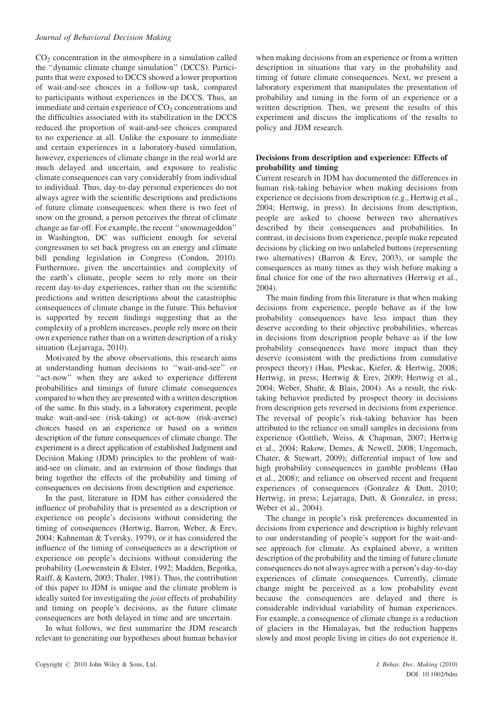# Journal of Behavioral Decision Making

 $CO<sub>2</sub>$  concentration in the atmosphere in a simulation called the ''dynamic climate change simulation'' (DCCS). Participants that were exposed to DCCS showed a lower proportion of wait-and-see choices in a follow-up task, compared to participants without experiences in the DCCS. Thus, an immediate and certain experience of  $CO<sub>2</sub>$  concentrations and the difficulties associated with its stabilization in the DCCS reduced the proportion of wait-and-see choices compared to no experience at all. Unlike the exposure to immediate and certain experiences in a laboratory-based simulation, however, experiences of climate change in the real world are much delayed and uncertain, and exposure to realistic climate consequences can vary considerably from individual to individual. Thus, day-to-day personal experiences do not always agree with the scientific descriptions and predictions of future climate consequences: when there is two feet of snow on the ground, a person perceives the threat of climate change as far-off. For example, the recent ''snowmageddon'' in Washington, DC was sufficient enough for several congressmen to set back progress on an energy and climate bill pending legislation in Congress (Condon, 2010). Furthermore, given the uncertainties and complexity of the earth's climate, people seem to rely more on their recent day-to-day experiences, rather than on the scientific predictions and written descriptions about the catastrophic consequences of climate change in the future. This behavior is supported by recent findings suggesting that as the complexity of a problem increases, people rely more on their own experience rather than on a written description of a risky situation (Lejarraga, 2010).

Motivated by the above observations, this research aims at understanding human decisions to ''wait-and-see'' or ''act-now'' when they are asked to experience different probabilities and timings of future climate consequences compared to when they are presented with a written description of the same. In this study, in a laboratory experiment, people make wait-and-see (risk-taking) or act-now (risk-averse) choices based on an experience or based on a written description of the future consequences of climate change. The experiment is a direct application of established Judgment and Decision Making (JDM) principles to the problem of waitand-see on climate, and an extension of those findings that bring together the effects of the probability and timing of consequences on decisions from description and experience.

In the past, literature in JDM has either considered the influence of probability that is presented as a description or experience on people's decisions without considering the timing of consequences (Hertwig, Barron, Weber, & Erev, 2004; Kahneman & Tversky, 1979), or it has considered the influence of the timing of consequences as a description or experience on people's decisions without considering the probability (Loewenstein & Elster, 1992; Madden, Begotka, Raiff, & Kastern, 2003; Thaler, 1981). Thus, the contribution of this paper to JDM is unique and the climate problem is ideally suited for investigating the joint effects of probability and timing on people's decisions, as the future climate consequences are both delayed in time and are uncertain.

In what follows, we first summarize the JDM research relevant to generating our hypotheses about human behavior when making decisions from an experience or from a written description in situations that vary in the probability and timing of future climate consequences. Next, we present a laboratory experiment that manipulates the presentation of probability and timing in the form of an experience or a written description. Then, we present the results of this experiment and discuss the implications of the results to policy and JDM research.

# Decisions from description and experience: Effects of probability and timing

Current research in JDM has documented the differences in human risk-taking behavior when making decisions from experience or decisions from description (e.g., Hertwig et al., 2004; Hertwig, in press). In decisions from description, people are asked to choose between two alternatives described by their consequences and probabilities. In contrast, in decisions from experience, people make repeated decisions by clicking on two unlabeled buttons (representing two alternatives) (Barron & Erev, 2003), or sample the consequences as many times as they wish before making a final choice for one of the two alternatives (Hertwig et al., 2004).

The main finding from this literature is that when making decisions from experience, people behave as if the low probability consequences have less impact than they deserve according to their objective probabilities, whereas in decisions from description people behave as if the low probability consequences have more impact than they deserve (consistent with the predictions from cumulative prospect theory) (Hau, Pleskac, Kiefer, & Hertwig, 2008; Hertwig, in press; Hertwig & Erev, 2009; Hertwig et al., 2004; Weber, Shafir, & Blais, 2004). As a result, the risktaking behavior predicted by prospect theory in decisions from description gets reversed in decisions from experience. The reversal of people's risk-taking behavior has been attributed to the reliance on small samples in decisions from experience (Gottlieb, Weiss, & Chapman, 2007; Hertwig et al., 2004; Rakow, Demes, & Newell, 2008; Ungemach, Chater, & Stewart, 2009); differential impact of low and high probability consequences in gamble problems (Hau et al., 2008); and reliance on observed recent and frequent experiences of consequences (Gonzalez & Dutt, 2010; Hertwig, in press; Lejarraga, Dutt, & Gonzalez, in press; Weber et al., 2004).

The change in people's risk preferences documented in decisions from experience and description is highly relevant to our understanding of people's support for the wait-andsee approach for climate. As explained above, a written description of the probability and the timing of future climate consequences do not always agree with a person's day-to-day experiences of climate consequences. Currently, climate change might be perceived as a low probability event because the consequences are delayed and there is considerable individual variability of human experiences. For example, a consequence of climate change is a reduction of glaciers in the Himalayas, but the reduction happens slowly and most people living in cities do not experience it.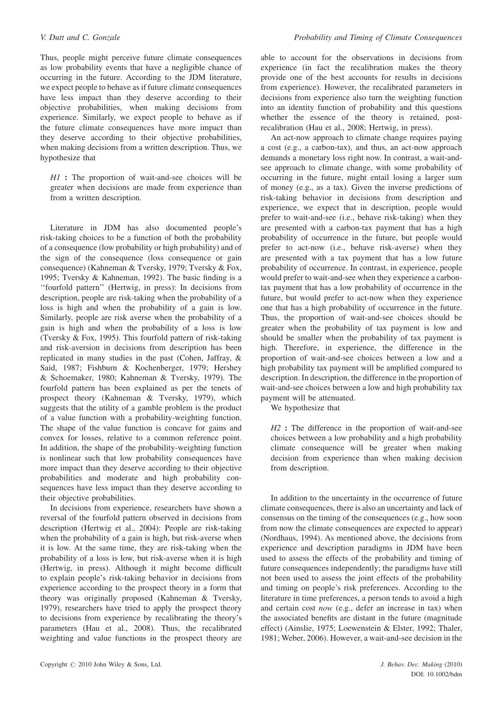Thus, people might perceive future climate consequences as low probability events that have a negligible chance of occurring in the future. According to the JDM literature, we expect people to behave as if future climate consequences have less impact than they deserve according to their objective probabilities, when making decisions from experience. Similarly, we expect people to behave as if the future climate consequences have more impact than they deserve according to their objective probabilities, when making decisions from a written description. Thus, we hypothesize that

H1 : The proportion of wait-and-see choices will be greater when decisions are made from experience than from a written description.

Literature in JDM has also documented people's risk-taking choices to be a function of both the probability of a consequence (low probability or high probability) and of the sign of the consequence (loss consequence or gain consequence) (Kahneman & Tversky, 1979; Tversky & Fox, 1995; Tversky & Kahneman, 1992). The basic finding is a ''fourfold pattern'' (Hertwig, in press): In decisions from description, people are risk-taking when the probability of a loss is high and when the probability of a gain is low. Similarly, people are risk averse when the probability of a gain is high and when the probability of a loss is low (Tversky & Fox, 1995). This fourfold pattern of risk-taking and risk-aversion in decisions from description has been replicated in many studies in the past (Cohen, Jaffray, & Said, 1987; Fishburn & Kochenberger, 1979; Hershey & Schoemaker, 1980; Kahneman & Tversky, 1979). The fourfold pattern has been explained as per the tenets of prospect theory (Kahneman & Tversky, 1979), which suggests that the utility of a gamble problem is the product of a value function with a probability-weighting function. The shape of the value function is concave for gains and convex for losses, relative to a common reference point. In addition, the shape of the probability-weighting function is nonlinear such that low probability consequences have more impact than they deserve according to their objective probabilities and moderate and high probability consequences have less impact than they deserve according to their objective probabilities.

In decisions from experience, researchers have shown a reversal of the fourfold pattern observed in decisions from description (Hertwig et al., 2004): People are risk-taking when the probability of a gain is high, but risk-averse when it is low. At the same time, they are risk-taking when the probability of a loss is low, but risk-averse when it is high (Hertwig, in press). Although it might become difficult to explain people's risk-taking behavior in decisions from experience according to the prospect theory in a form that theory was originally proposed (Kahneman & Tversky, 1979), researchers have tried to apply the prospect theory to decisions from experience by recalibrating the theory's parameters (Hau et al., 2008). Thus, the recalibrated weighting and value functions in the prospect theory are

able to account for the observations in decisions from experience (in fact the recalibration makes the theory provide one of the best accounts for results in decisions from experience). However, the recalibrated parameters in decisions from experience also turn the weighting function into an identity function of probability and this questions whether the essence of the theory is retained, postrecalibration (Hau et al., 2008; Hertwig, in press).

An act-now approach to climate change requires paying a cost (e.g., a carbon-tax), and thus, an act-now approach demands a monetary loss right now. In contrast, a wait-andsee approach to climate change, with some probability of occurring in the future, might entail losing a larger sum of money (e.g., as a tax). Given the inverse predictions of risk-taking behavior in decisions from description and experience, we expect that in description, people would prefer to wait-and-see (i.e., behave risk-taking) when they are presented with a carbon-tax payment that has a high probability of occurrence in the future, but people would prefer to act-now (i.e., behave risk-averse) when they are presented with a tax payment that has a low future probability of occurrence. In contrast, in experience, people would prefer to wait-and-see when they experience a carbontax payment that has a low probability of occurrence in the future, but would prefer to act-now when they experience one that has a high probability of occurrence in the future. Thus, the proportion of wait-and-see choices should be greater when the probability of tax payment is low and should be smaller when the probability of tax payment is high. Therefore, in experience, the difference in the proportion of wait-and-see choices between a low and a high probability tax payment will be amplified compared to description. In description, the difference in the proportion of wait-and-see choices between a low and high probability tax payment will be attenuated.

We hypothesize that

H2 : The difference in the proportion of wait-and-see choices between a low probability and a high probability climate consequence will be greater when making decision from experience than when making decision from description.

In addition to the uncertainty in the occurrence of future climate consequences, there is also an uncertainty and lack of consensus on the timing of the consequences (e.g., how soon from now the climate consequences are expected to appear) (Nordhaus, 1994). As mentioned above, the decisions from experience and description paradigms in JDM have been used to assess the effects of the probability and timing of future consequences independently; the paradigms have still not been used to assess the joint effects of the probability and timing on people's risk preferences. According to the literature in time preferences, a person tends to avoid a high and certain cost now (e.g., defer an increase in tax) when the associated benefits are distant in the future (magnitude effect) (Ainslie, 1975; Loewenstein & Elster, 1992; Thaler, 1981; Weber, 2006). However, a wait-and-see decision in the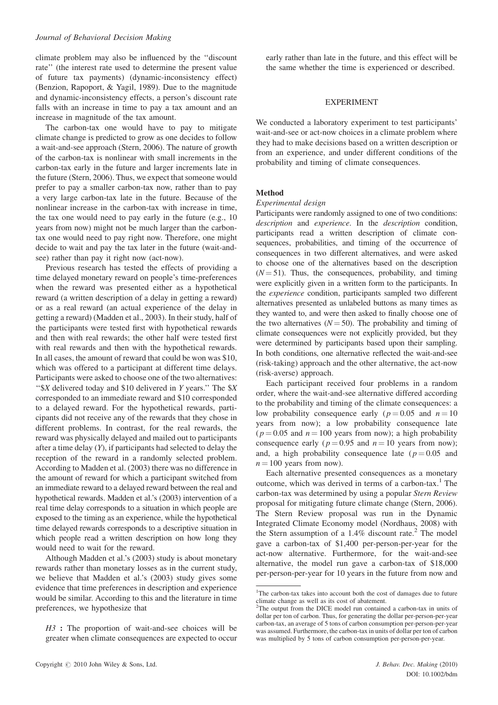### Journal of Behavioral Decision Making

climate problem may also be influenced by the ''discount rate'' (the interest rate used to determine the present value of future tax payments) (dynamic-inconsistency effect) (Benzion, Rapoport, & Yagil, 1989). Due to the magnitude and dynamic-inconsistency effects, a person's discount rate falls with an increase in time to pay a tax amount and an increase in magnitude of the tax amount.

The carbon-tax one would have to pay to mitigate climate change is predicted to grow as one decides to follow a wait-and-see approach (Stern, 2006). The nature of growth of the carbon-tax is nonlinear with small increments in the carbon-tax early in the future and larger increments late in the future (Stern, 2006). Thus, we expect that someone would prefer to pay a smaller carbon-tax now, rather than to pay a very large carbon-tax late in the future. Because of the nonlinear increase in the carbon-tax with increase in time, the tax one would need to pay early in the future (e.g., 10 years from now) might not be much larger than the carbontax one would need to pay right now. Therefore, one might decide to wait and pay the tax later in the future (wait-andsee) rather than pay it right now (act-now).

Previous research has tested the effects of providing a time delayed monetary reward on people's time-preferences when the reward was presented either as a hypothetical reward (a written description of a delay in getting a reward) or as a real reward (an actual experience of the delay in getting a reward) (Madden et al., 2003). In their study, half of the participants were tested first with hypothetical rewards and then with real rewards; the other half were tested first with real rewards and then with the hypothetical rewards. In all cases, the amount of reward that could be won was \$10, which was offered to a participant at different time delays. Participants were asked to choose one of the two alternatives: ''\$X delivered today and \$10 delivered in Y years.'' The \$X corresponded to an immediate reward and \$10 corresponded to a delayed reward. For the hypothetical rewards, participants did not receive any of the rewards that they chose in different problems. In contrast, for the real rewards, the reward was physically delayed and mailed out to participants after a time delay (Y), if participants had selected to delay the reception of the reward in a randomly selected problem. According to Madden et al. (2003) there was no difference in the amount of reward for which a participant switched from an immediate reward to a delayed reward between the real and hypothetical rewards. Madden et al.'s (2003) intervention of a real time delay corresponds to a situation in which people are exposed to the timing as an experience, while the hypothetical time delayed rewards corresponds to a descriptive situation in which people read a written description on how long they would need to wait for the reward.

Although Madden et al.'s (2003) study is about monetary rewards rather than monetary losses as in the current study, we believe that Madden et al.'s (2003) study gives some evidence that time preferences in description and experience would be similar. According to this and the literature in time preferences, we hypothesize that

H3 : The proportion of wait-and-see choices will be greater when climate consequences are expected to occur early rather than late in the future, and this effect will be the same whether the time is experienced or described.

### EXPERIMENT

We conducted a laboratory experiment to test participants' wait-and-see or act-now choices in a climate problem where they had to make decisions based on a written description or from an experience, and under different conditions of the probability and timing of climate consequences.

### Method

### Experimental design

Participants were randomly assigned to one of two conditions: description and experience. In the description condition, participants read a written description of climate consequences, probabilities, and timing of the occurrence of consequences in two different alternatives, and were asked to choose one of the alternatives based on the description  $(N=51)$ . Thus, the consequences, probability, and timing were explicitly given in a written form to the participants. In the experience condition, participants sampled two different alternatives presented as unlabeled buttons as many times as they wanted to, and were then asked to finally choose one of the two alternatives  $(N = 50)$ . The probability and timing of climate consequences were not explicitly provided, but they were determined by participants based upon their sampling. In both conditions, one alternative reflected the wait-and-see (risk-taking) approach and the other alternative, the act-now (risk-averse) approach.

Each participant received four problems in a random order, where the wait-and-see alternative differed according to the probability and timing of the climate consequences: a low probability consequence early ( $p = 0.05$  and  $n = 10$ ) years from now); a low probability consequence late  $(p = 0.05$  and  $n = 100$  years from now); a high probability consequence early ( $p = 0.95$  and  $n = 10$  years from now); and, a high probability consequence late ( $p = 0.05$  and  $n = 100$  years from now).

Each alternative presented consequences as a monetary outcome, which was derived in terms of a carbon-tax.<sup>1</sup> The carbon-tax was determined by using a popular Stern Review proposal for mitigating future climate change (Stern, 2006). The Stern Review proposal was run in the Dynamic Integrated Climate Economy model (Nordhaus, 2008) with the Stern assumption of a  $1.4\%$  discount rate.<sup>2</sup> The model gave a carbon-tax of \$1,400 per-person-per-year for the act-now alternative. Furthermore, for the wait-and-see alternative, the model run gave a carbon-tax of \$18,000 per-person-per-year for 10 years in the future from now and

<sup>&</sup>lt;sup>1</sup>The carbon-tax takes into account both the cost of damages due to future climate change as well as its cost of abatement.

<sup>&</sup>lt;sup>2</sup>The output from the DICE model run contained a carbon-tax in units of dollar per ton of carbon. Thus, for generating the dollar per-person-per-year carbon-tax, an average of 5 tons of carbon consumption per-person-per-year was assumed. Furthermore, the carbon-tax in units of dollar per ton of carbon was multiplied by 5 tons of carbon consumption per-person-per-year.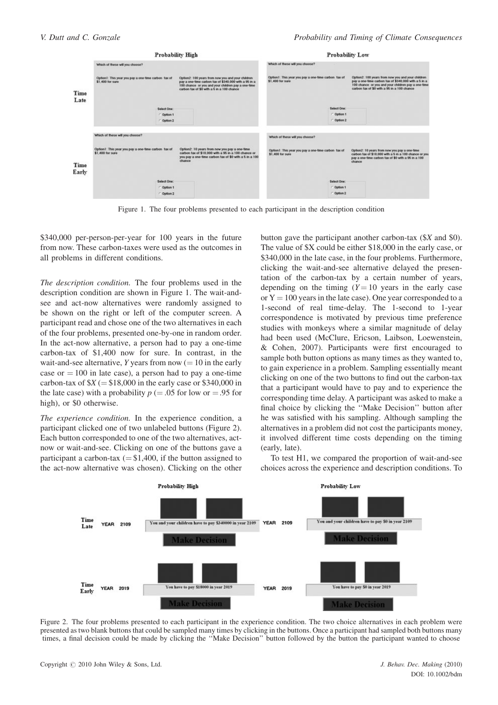

Figure 1. The four problems presented to each participant in the description condition

\$340,000 per-person-per-year for 100 years in the future from now. These carbon-taxes were used as the outcomes in all problems in different conditions.

The description condition. The four problems used in the description condition are shown in Figure 1. The wait-andsee and act-now alternatives were randomly assigned to be shown on the right or left of the computer screen. A participant read and chose one of the two alternatives in each of the four problems, presented one-by-one in random order. In the act-now alternative, a person had to pay a one-time carbon-tax of \$1,400 now for sure. In contrast, in the wait-and-see alternative, Y years from now  $(= 10$  in the early case or  $= 100$  in late case), a person had to pay a one-time carbon-tax of  $X = 18,000$  in the early case or \$340,000 in the late case) with a probability  $p (= .05$  for low or  $= .95$  for high), or \$0 otherwise.

The experience condition. In the experience condition, a participant clicked one of two unlabeled buttons (Figure 2). Each button corresponded to one of the two alternatives, actnow or wait-and-see. Clicking on one of the buttons gave a participant a carbon-tax  $( = $1,400, \text{ if the button assigned to})$ the act-now alternative was chosen). Clicking on the other button gave the participant another carbon-tax (\$X and \$0). The value of \$X could be either \$18,000 in the early case, or \$340,000 in the late case, in the four problems. Furthermore, clicking the wait-and-see alternative delayed the presentation of the carbon-tax by a certain number of years, depending on the timing  $(Y = 10$  years in the early case or  $Y = 100$  years in the late case). One year corresponded to a 1-second of real time-delay. The 1-second to 1-year correspondence is motivated by previous time preference studies with monkeys where a similar magnitude of delay had been used (McClure, Ericson, Laibson, Loewenstein, & Cohen, 2007). Participants were first encouraged to sample both button options as many times as they wanted to, to gain experience in a problem. Sampling essentially meant clicking on one of the two buttons to find out the carbon-tax that a participant would have to pay and to experience the corresponding time delay. A participant was asked to make a final choice by clicking the ''Make Decision'' button after he was satisfied with his sampling. Although sampling the alternatives in a problem did not cost the participants money, it involved different time costs depending on the timing (early, late).



Figure 2. The four problems presented to each participant in the experience condition. The two choice alternatives in each problem were presented as two blank buttons that could be sampled many times by clicking in the buttons. Once a participant had sampled both buttons many times, a final decision could be made by clicking the ''Make Decision'' button followed by the button the participant wanted to choose

To test H1, we compared the proportion of wait-and-see choices across the experience and description conditions. To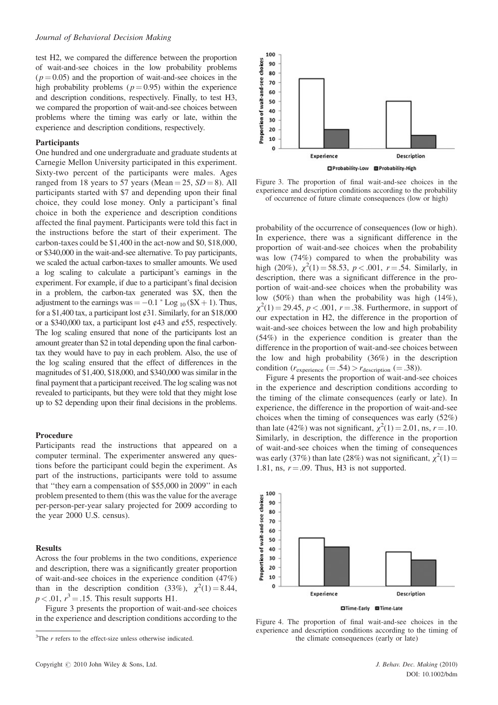test H2, we compared the difference between the proportion of wait-and-see choices in the low probability problems  $(p = 0.05)$  and the proportion of wait-and-see choices in the high probability problems ( $p = 0.95$ ) within the experience and description conditions, respectively. Finally, to test H3, we compared the proportion of wait-and-see choices between problems where the timing was early or late, within the experience and description conditions, respectively.

### Participants

One hundred and one undergraduate and graduate students at Carnegie Mellon University participated in this experiment. Sixty-two percent of the participants were males. Ages ranged from 18 years to 57 years (Mean = 25,  $SD = 8$ ). All participants started with \$7 and depending upon their final choice, they could lose money. Only a participant's final choice in both the experience and description conditions affected the final payment. Participants were told this fact in the instructions before the start of their experiment. The carbon-taxes could be \$1,400 in the act-now and \$0, \$18,000, or \$340,000 in the wait-and-see alternative. To pay participants, we scaled the actual carbon-taxes to smaller amounts. We used a log scaling to calculate a participant's earnings in the experiment. For example, if due to a participant's final decision in a problem, the carbon-tax generated was \$X, then the adjustment to the earnings was  $= -0.1 \times 10^{8}$  and  $(X + 1)$ . Thus, for a \$1,400 tax, a participant lost  $\varphi$ 31. Similarly, for an \$18,000 or a \$340,000 tax, a participant lost  $\dot{\varphi}$ 43 and  $\dot{\varphi}$ 55, respectively. The log scaling ensured that none of the participants lost an amount greater than \$2 in total depending upon the final carbontax they would have to pay in each problem. Also, the use of the log scaling ensured that the effect of differences in the magnitudes of \$1,400, \$18,000, and \$340,000 was similar in the final payment that a participant received. The log scaling was not revealed to participants, but they were told that they might lose up to \$2 depending upon their final decisions in the problems.

### Procedure

Participants read the instructions that appeared on a computer terminal. The experimenter answered any questions before the participant could begin the experiment. As part of the instructions, participants were told to assume that ''they earn a compensation of \$55,000 in 2009'' in each problem presented to them (this was the value for the average per-person-per-year salary projected for 2009 according to the year 2000 U.S. census).

### Results

Across the four problems in the two conditions, experience and description, there was a significantly greater proportion of wait-and-see choices in the experience condition (47%) than in the description condition (33%),  $\chi^2(1) = 8.44$ ,  $p < .01$ ,  $r<sup>3</sup> = .15$ . This result supports H1.

Figure 3 presents the proportion of wait-and-see choices in the experience and description conditions according to the



Figure 3. The proportion of final wait-and-see choices in the experience and description conditions according to the probability of occurrence of future climate consequences (low or high)

probability of the occurrence of consequences (low or high). In experience, there was a significant difference in the proportion of wait-and-see choices when the probability was low (74%) compared to when the probability was high (20%),  $\chi^2(1) = 58.53$ ,  $p < .001$ ,  $r = .54$ . Similarly, in description, there was a significant difference in the proportion of wait-and-see choices when the probability was low (50%) than when the probability was high (14%),  $\chi^2(1) = 29.45, p < .001, r = .38$ . Furthermore, in support of our expectation in H2, the difference in the proportion of wait-and-see choices between the low and high probability (54%) in the experience condition is greater than the difference in the proportion of wait-and-see choices between the low and high probability (36%) in the description condition ( $r_{\text{experience}}$  (= .54) >  $r_{\text{description}}$  (= .38)).

Figure 4 presents the proportion of wait-and-see choices in the experience and description conditions according to the timing of the climate consequences (early or late). In experience, the difference in the proportion of wait-and-see choices when the timing of consequences was early (52%) than late (42%) was not significant,  $\chi^2(1) = 2.01$ , ns,  $r = .10$ . Similarly, in description, the difference in the proportion of wait-and-see choices when the timing of consequences was early (37%) than late (28%) was not significant,  $\chi^2(1)$  = 1.81, ns,  $r = .09$ . Thus, H3 is not supported.



Figure 4. The proportion of final wait-and-see choices in the experience and description conditions according to the timing of <sup>3</sup>The r refers to the effect-size unless otherwise indicated. The referse to the climate consequences (early or late)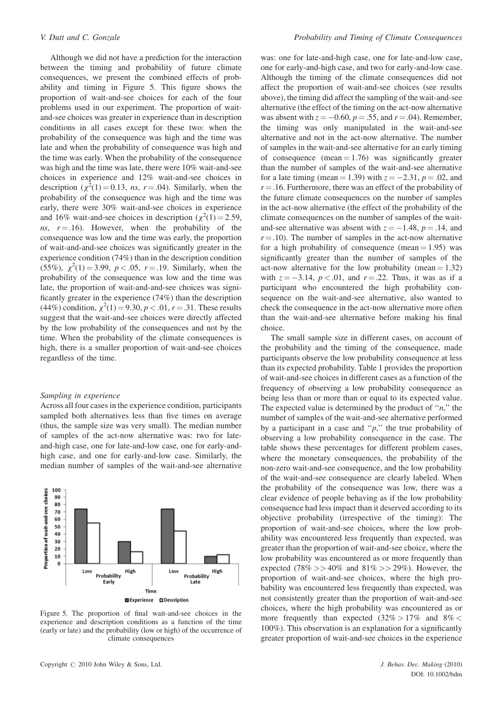Although we did not have a prediction for the interaction between the timing and probability of future climate consequences, we present the combined effects of probability and timing in Figure 5. This figure shows the proportion of wait-and-see choices for each of the four problems used in our experiment. The proportion of waitand-see choices was greater in experience than in description conditions in all cases except for these two: when the probability of the consequence was high and the time was late and when the probability of consequence was high and the time was early. When the probability of the consequence was high and the time was late, there were 10% wait-and-see choices in experience and 12% wait-and-see choices in description  $(\chi^2(1) = 0.13, ns, r = .04)$ . Similarly, when the probability of the consequence was high and the time was early, there were 30% wait-and-see choices in experience and 16% wait-and-see choices in description ( $\chi^2(1) = 2.59$ , ns,  $r = .16$ ). However, when the probability of the consequence was low and the time was early, the proportion of wait-and-and-see choices was significantly greater in the experience condition (74%) than in the description condition (55%),  $\chi^2(1) = 3.99$ ,  $p < .05$ ,  $r = .19$ . Similarly, when the probability of the consequence was low and the time was late, the proportion of wait-and-and-see choices was significantly greater in the experience (74%) than the description (44%) condition,  $\chi^2(1) = 9.30, p < .01, r = .31$ . These results suggest that the wait-and-see choices were directly affected by the low probability of the consequences and not by the time. When the probability of the climate consequences is high, there is a smaller proportion of wait-and-see choices regardless of the time.

#### Sampling in experience

Across all four cases in the experience condition, participants sampled both alternatives less than five times on average (thus, the sample size was very small). The median number of samples of the act-now alternative was: two for lateand-high case, one for late-and-low case, one for early-andhigh case, and one for early-and-low case. Similarly, the median number of samples of the wait-and-see alternative



Figure 5. The proportion of final wait-and-see choices in the experience and description conditions as a function of the time (early or late) and the probability (low or high) of the occurrence of climate consequences

was: one for late-and-high case, one for late-and-low case, one for early-and-high case, and two for early-and-low case. Although the timing of the climate consequences did not affect the proportion of wait-and-see choices (see results above), the timing did affect the sampling of the wait-and-see alternative (the effect of the timing on the act-now alternative was absent with  $z = -0.60$ ,  $p = .55$ , and  $r = .04$ ). Remember, the timing was only manipulated in the wait-and-see alternative and not in the act-now alternative. The number of samples in the wait-and-see alternative for an early timing of consequence (mean  $= 1.76$ ) was significantly greater than the number of samples of the wait-and-see alternative for a late timing (mean = 1.39) with  $z = -2.31$ ,  $p = .02$ , and  $r = .16$ . Furthermore, there was an effect of the probability of the future climate consequences on the number of samples in the act-now alternative (the effect of the probability of the climate consequences on the number of samples of the waitand-see alternative was absent with  $z = -1.48$ ,  $p = .14$ , and  $r = .10$ ). The number of samples in the act-now alternative for a high probability of consequence (mean  $= 1.95$ ) was significantly greater than the number of samples of the act-now alternative for the low probability (mean  $= 1.32$ ) with  $z = -3.14$ ,  $p < .01$ , and  $r = .22$ . Thus, it was as if a participant who encountered the high probability consequence on the wait-and-see alternative, also wanted to check the consequence in the act-now alternative more often than the wait-and-see alternative before making his final choice.

The small sample size in different cases, on account of the probability and the timing of the consequence, made participants observe the low probability consequence at less than its expected probability. Table 1 provides the proportion of wait-and-see choices in different cases as a function of the frequency of observing a low probability consequence as being less than or more than or equal to its expected value. The expected value is determined by the product of " $n$ ," the number of samples of the wait-and-see alternative performed by a participant in a case and " $p$ ," the true probability of observing a low probability consequence in the case. The table shows these percentages for different problem cases, where the monetary consequences, the probability of the non-zero wait-and-see consequence, and the low probability of the wait-and-see consequence are clearly labeled. When the probability of the consequence was low, there was a clear evidence of people behaving as if the low probability consequence had less impact than it deserved according to its objective probability (irrespective of the timing): The proportion of wait-and-see choices, where the low probability was encountered less frequently than expected, was greater than the proportion of wait-and-see choice, where the low probability was encountered as or more frequently than expected (78% >> 40% and 81% >> 29%). However, the proportion of wait-and-see choices, where the high probability was encountered less frequently than expected, was not consistently greater than the proportion of wait-and-see choices, where the high probability was encountered as or more frequently than expected  $(32\% > 17\%$  and  $8\% <$ 100%). This observation is an explanation for a significantly greater proportion of wait-and-see choices in the experience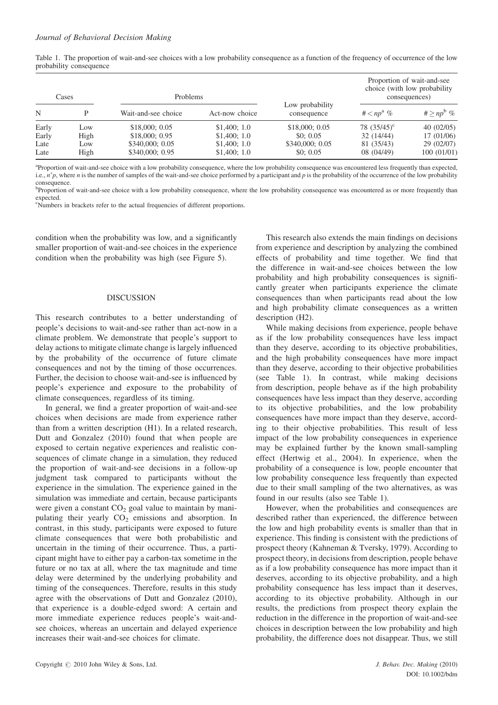Table 1. The proportion of wait-and-see choices with a low probability consequence as a function of the frequency of occurrence of the low probability consequence

| Cases |      | <b>Problems</b>     |                |                                | Proportion of wait-and-see<br>choice (with low probability)<br>consequences) |                |
|-------|------|---------------------|----------------|--------------------------------|------------------------------------------------------------------------------|----------------|
| N     | D    | Wait-and-see choice | Act-now choice | Low probability<br>consequence | $# < np^a$ %                                                                 | $# \ge np^b$ % |
| Early | Low  | \$18,000; 0.05      | \$1,400; 1.0   | \$18,000; 0.05                 | 78 $(35/45)^{\circ}$                                                         | 40(02/05)      |
| Early | High | \$18,000; 0.95      | \$1,400; 1.0   | \$0:0.05                       | 32 (14/44)                                                                   | 17(01/06)      |
| Late  | Low  | \$340,000; 0.05     | \$1,400; 1.0   | \$340,000; 0.05                | 81 (35/43)                                                                   | 29(02/07)      |
| Late  | High | \$340,000; 0.95     | \$1,400; 1.0   | \$0:0.05                       | 08 (04/49)                                                                   | 100(01/01)     |

<sup>a</sup>Proportion of wait-and-see choice with a low probability consequence, where the low probability consequence was encountered less frequently than expected, i.e.,  $n^*p$ , where n is the number of samples of the wait-and-see choice performed by a participant and p is the probability of the occurrence of the low probability consequence

<sup>b</sup>Proportion of wait-and-see choice with a low probability consequence, where the low probability consequence was encountered as or more frequently than expected.

<sup>c</sup>Numbers in brackets refer to the actual frequencies of different proportions.

condition when the probability was low, and a significantly smaller proportion of wait-and-see choices in the experience condition when the probability was high (see Figure 5).

#### DISCUSSION

This research contributes to a better understanding of people's decisions to wait-and-see rather than act-now in a climate problem. We demonstrate that people's support to delay actions to mitigate climate change is largely influenced by the probability of the occurrence of future climate consequences and not by the timing of those occurrences. Further, the decision to choose wait-and-see is influenced by people's experience and exposure to the probability of climate consequences, regardless of its timing.

In general, we find a greater proportion of wait-and-see choices when decisions are made from experience rather than from a written description (H1). In a related research, Dutt and Gonzalez (2010) found that when people are exposed to certain negative experiences and realistic consequences of climate change in a simulation, they reduced the proportion of wait-and-see decisions in a follow-up judgment task compared to participants without the experience in the simulation. The experience gained in the simulation was immediate and certain, because participants were given a constant  $CO<sub>2</sub>$  goal value to maintain by manipulating their yearly  $CO<sub>2</sub>$  emissions and absorption. In contrast, in this study, participants were exposed to future climate consequences that were both probabilistic and uncertain in the timing of their occurrence. Thus, a participant might have to either pay a carbon-tax sometime in the future or no tax at all, where the tax magnitude and time delay were determined by the underlying probability and timing of the consequences. Therefore, results in this study agree with the observations of Dutt and Gonzalez (2010), that experience is a double-edged sword: A certain and more immediate experience reduces people's wait-andsee choices, whereas an uncertain and delayed experience increases their wait-and-see choices for climate.

This research also extends the main findings on decisions from experience and description by analyzing the combined effects of probability and time together. We find that the difference in wait-and-see choices between the low probability and high probability consequences is significantly greater when participants experience the climate consequences than when participants read about the low and high probability climate consequences as a written description (H2).

While making decisions from experience, people behave as if the low probability consequences have less impact than they deserve, according to its objective probabilities, and the high probability consequences have more impact than they deserve, according to their objective probabilities (see Table 1). In contrast, while making decisions from description, people behave as if the high probability consequences have less impact than they deserve, according to its objective probabilities, and the low probability consequences have more impact than they deserve, according to their objective probabilities. This result of less impact of the low probability consequences in experience may be explained further by the known small-sampling effect (Hertwig et al., 2004). In experience, when the probability of a consequence is low, people encounter that low probability consequence less frequently than expected due to their small sampling of the two alternatives, as was found in our results (also see Table 1).

However, when the probabilities and consequences are described rather than experienced, the difference between the low and high probability events is smaller than that in experience. This finding is consistent with the predictions of prospect theory (Kahneman & Tversky, 1979). According to prospect theory, in decisions from description, people behave as if a low probability consequence has more impact than it deserves, according to its objective probability, and a high probability consequence has less impact than it deserves, according to its objective probability. Although in our results, the predictions from prospect theory explain the reduction in the difference in the proportion of wait-and-see choices in description between the low probability and high probability, the difference does not disappear. Thus, we still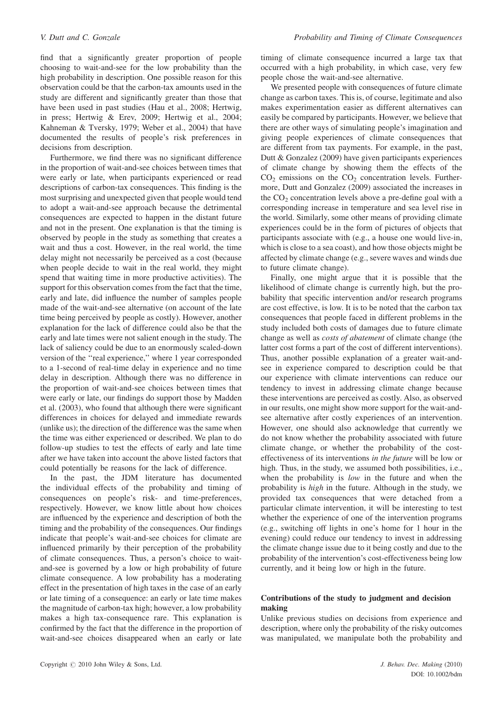find that a significantly greater proportion of people choosing to wait-and-see for the low probability than the high probability in description. One possible reason for this observation could be that the carbon-tax amounts used in the study are different and significantly greater than those that have been used in past studies (Hau et al., 2008; Hertwig, in press; Hertwig & Erev, 2009; Hertwig et al., 2004; Kahneman & Tversky, 1979; Weber et al., 2004) that have documented the results of people's risk preferences in decisions from description.

Furthermore, we find there was no significant difference in the proportion of wait-and-see choices between times that were early or late, when participants experienced or read descriptions of carbon-tax consequences. This finding is the most surprising and unexpected given that people would tend to adopt a wait-and-see approach because the detrimental consequences are expected to happen in the distant future and not in the present. One explanation is that the timing is observed by people in the study as something that creates a wait and thus a cost. However, in the real world, the time delay might not necessarily be perceived as a cost (because when people decide to wait in the real world, they might spend that waiting time in more productive activities). The support for this observation comes from the fact that the time, early and late, did influence the number of samples people made of the wait-and-see alternative (on account of the late time being perceived by people as costly). However, another explanation for the lack of difference could also be that the early and late times were not salient enough in the study. The lack of saliency could be due to an enormously scaled-down version of the ''real experience,'' where 1 year corresponded to a 1-second of real-time delay in experience and no time delay in description. Although there was no difference in the proportion of wait-and-see choices between times that were early or late, our findings do support those by Madden et al. (2003), who found that although there were significant differences in choices for delayed and immediate rewards (unlike us); the direction of the difference was the same when the time was either experienced or described. We plan to do follow-up studies to test the effects of early and late time after we have taken into account the above listed factors that could potentially be reasons for the lack of difference.

In the past, the JDM literature has documented the individual effects of the probability and timing of consequences on people's risk- and time-preferences, respectively. However, we know little about how choices are influenced by the experience and description of both the timing and the probability of the consequences. Our findings indicate that people's wait-and-see choices for climate are influenced primarily by their perception of the probability of climate consequences. Thus, a person's choice to waitand-see is governed by a low or high probability of future climate consequence. A low probability has a moderating effect in the presentation of high taxes in the case of an early or late timing of a consequence: an early or late time makes the magnitude of carbon-tax high; however, a low probability makes a high tax-consequence rare. This explanation is confirmed by the fact that the difference in the proportion of wait-and-see choices disappeared when an early or late

timing of climate consequence incurred a large tax that occurred with a high probability, in which case, very few people chose the wait-and-see alternative.

We presented people with consequences of future climate change as carbon taxes. This is, of course, legitimate and also makes experimentation easier as different alternatives can easily be compared by participants. However, we believe that there are other ways of simulating people's imagination and giving people experiences of climate consequences that are different from tax payments. For example, in the past, Dutt & Gonzalez (2009) have given participants experiences of climate change by showing them the effects of the  $CO<sub>2</sub>$  emissions on the  $CO<sub>2</sub>$  concentration levels. Furthermore, Dutt and Gonzalez (2009) associated the increases in the  $CO<sub>2</sub>$  concentration levels above a pre-define goal with a corresponding increase in temperature and sea level rise in the world. Similarly, some other means of providing climate experiences could be in the form of pictures of objects that participants associate with (e.g., a house one would live-in, which is close to a sea coast), and how those objects might be affected by climate change (e.g., severe waves and winds due to future climate change).

Finally, one might argue that it is possible that the likelihood of climate change is currently high, but the probability that specific intervention and/or research programs are cost effective, is low. It is to be noted that the carbon tax consequences that people faced in different problems in the study included both costs of damages due to future climate change as well as costs of abatement of climate change (the latter cost forms a part of the cost of different interventions). Thus, another possible explanation of a greater wait-andsee in experience compared to description could be that our experience with climate interventions can reduce our tendency to invest in addressing climate change because these interventions are perceived as costly. Also, as observed in our results, one might show more support for the wait-andsee alternative after costly experiences of an intervention. However, one should also acknowledge that currently we do not know whether the probability associated with future climate change, or whether the probability of the costeffectiveness of its interventions in the future will be low or high. Thus, in the study, we assumed both possibilities, i.e., when the probability is *low* in the future and when the probability is high in the future. Although in the study, we provided tax consequences that were detached from a particular climate intervention, it will be interesting to test whether the experience of one of the intervention programs (e.g., switching off lights in one's home for 1 hour in the evening) could reduce our tendency to invest in addressing the climate change issue due to it being costly and due to the probability of the intervention's cost-effectiveness being low currently, and it being low or high in the future.

# Contributions of the study to judgment and decision making

Unlike previous studies on decisions from experience and description, where only the probability of the risky outcomes was manipulated, we manipulate both the probability and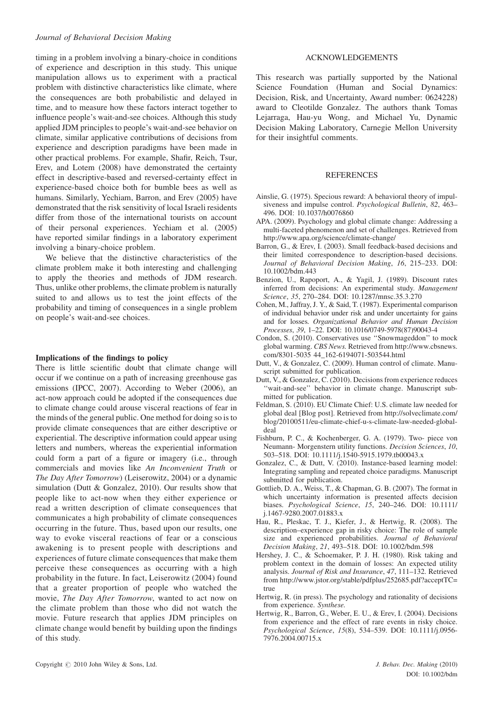### Journal of Behavioral Decision Making

timing in a problem involving a binary-choice in conditions of experience and description in this study. This unique manipulation allows us to experiment with a practical problem with distinctive characteristics like climate, where the consequences are both probabilistic and delayed in time, and to measure how these factors interact together to influence people's wait-and-see choices. Although this study applied JDM principles to people's wait-and-see behavior on climate, similar applicative contributions of decisions from experience and description paradigms have been made in other practical problems. For example, Shafir, Reich, Tsur, Erev, and Lotem (2008) have demonstrated the certainty effect in descriptive-based and reversed-certainty effect in experience-based choice both for bumble bees as well as humans. Similarly, Yechiam, Barron, and Erev (2005) have demonstrated that the risk sensitivity of local Israeli residents differ from those of the international tourists on account of their personal experiences. Yechiam et al. (2005) have reported similar findings in a laboratory experiment involving a binary-choice problem.

We believe that the distinctive characteristics of the climate problem make it both interesting and challenging to apply the theories and methods of JDM research. Thus, unlike other problems, the climate problem is naturally suited to and allows us to test the joint effects of the probability and timing of consequences in a single problem on people's wait-and-see choices.

### Implications of the findings to policy

There is little scientific doubt that climate change will occur if we continue on a path of increasing greenhouse gas emissions (IPCC, 2007). According to Weber (2006), an act-now approach could be adopted if the consequences due to climate change could arouse visceral reactions of fear in the minds of the general public. One method for doing so is to provide climate consequences that are either descriptive or experiential. The descriptive information could appear using letters and numbers, whereas the experiential information could form a part of a figure or imagery (i.e., through commercials and movies like An Inconvenient Truth or The Day After Tomorrow) (Leiserowitz, 2004) or a dynamic simulation (Dutt & Gonzalez, 2010). Our results show that people like to act-now when they either experience or read a written description of climate consequences that communicates a high probability of climate consequences occurring in the future. Thus, based upon our results, one way to evoke visceral reactions of fear or a conscious awakening is to present people with descriptions and experiences of future climate consequences that make them perceive these consequences as occurring with a high probability in the future. In fact, Leiserowitz (2004) found that a greater proportion of people who watched the movie, The Day After Tomorrow, wanted to act now on the climate problem than those who did not watch the movie. Future research that applies JDM principles on climate change would benefit by building upon the findings of this study.

# ACKNOWLEDGEMENTS

This research was partially supported by the National Science Foundation (Human and Social Dynamics: Decision, Risk, and Uncertainty, Award number: 0624228) award to Cleotilde Gonzalez. The authors thank Tomas Lejarraga, Hau-yu Wong, and Michael Yu, Dynamic Decision Making Laboratory, Carnegie Mellon University for their insightful comments.

#### REFERENCES

- Ainslie, G. (1975). Specious reward: A behavioral theory of impulsiveness and impulse control. Psychological Bulletin, 82, 463– 496. DOI: 10.1037/h0076860
- APA. (2009). Psychology and global climate change: Addressing a multi-faceted phenomenon and set of challenges. Retrieved from http://www.apa.org/science/climate-change/
- Barron, G., & Erev, I. (2003). Small feedback-based decisions and their limited correspondence to description-based decisions. Journal of Behavioral Decision Making, 16, 215–233. DOI: 10.1002/bdm.443
- Benzion, U., Rapoport, A., & Yagil, J. (1989). Discount rates inferred from decisions: An experimental study. Management Science, 35, 270–284. DOI: 10.1287/mnsc.35.3.270
- Cohen, M., Jaffray, J. Y., & Said, T. (1987). Experimental comparison of individual behavior under risk and under uncertainty for gains and for losses. Organizational Behavior and Human Decision Processes, 39, 1–22. DOI: 10.1016/0749-5978(87)90043-4
- Condon, S. (2010). Conservatives use ''Snowmageddon'' to mock global warming. CBS News. Retrieved from http://www.cbsnews. com/8301-5035 44\_162-6194071-503544.html
- Dutt, V., & Gonzalez, C. (2009). Human control of climate. Manuscript submitted for publication.
- Dutt, V., & Gonzalez, C. (2010). Decisions from experience reduces ''wait-and-see'' behavior in climate change. Manuscript submitted for publication.
- Feldman, S. (2010). EU Climate Chief: U.S. climate law needed for global deal [Blog post]. Retrieved from http://solveclimate.com/ blog/20100511/eu-climate-chief-u-s-climate-law-needed-globaldeal
- Fishburn, P. C., & Kochenberger, G. A. (1979). Two- piece von Neumann- Morgenstern utility functions. Decision Sciences, 10, 503–518. DOI: 10.1111/j.1540-5915.1979.tb00043.x
- Gonzalez, C., & Dutt, V. (2010). Instance-based learning model: Integrating sampling and repeated choice paradigms. Manuscript submitted for publication.
- Gottlieb, D. A., Weiss, T., & Chapman, G. B. (2007). The format in which uncertainty information is presented affects decision biases. Psychological Science, 15, 240–246. DOI: 10.1111/ j.1467-9280.2007.01883.x
- Hau, R., Pleskac, T. J., Kiefer, J., & Hertwig, R. (2008). The description–experience gap in risky choice: The role of sample size and experienced probabilities. Journal of Behavioral Decision Making, 21, 493–518. DOI: 10.1002/bdm.598
- Hershey, J. C., & Schoemaker, P. J. H. (1980). Risk taking and problem context in the domain of losses: An expected utility analysis. Journal of Risk and Insurance, 47, 111–132. Retrieved from http://www.jstor.org/stable/pdfplus/252685.pdf?acceptTC= true
- Hertwig, R. (in press). The psychology and rationality of decisions from experience. Synthese.
- Hertwig, R., Barron, G., Weber, E. U., & Erev, I. (2004). Decisions from experience and the effect of rare events in risky choice. Psychological Science, 15(8), 534–539. DOI: 10.1111/j.0956- 7976.2004.00715.x